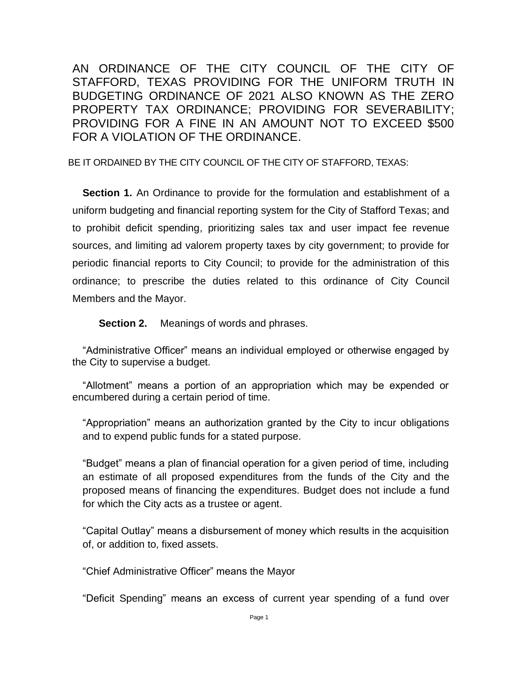AN ORDINANCE OF THE CITY COUNCIL OF THE CITY OF STAFFORD, TEXAS PROVIDING FOR THE UNIFORM TRUTH IN BUDGETING ORDINANCE OF 2021 ALSO KNOWN AS THE ZERO PROPERTY TAX ORDINANCE; PROVIDING FOR SEVERABILITY; PROVIDING FOR A FINE IN AN AMOUNT NOT TO EXCEED \$500 FOR A VIOLATION OF THE ORDINANCE.

BE IT ORDAINED BY THE CITY COUNCIL OF THE CITY OF STAFFORD, TEXAS:

**Section 1.** An Ordinance to provide for the formulation and establishment of a uniform budgeting and financial reporting system for the City of Stafford Texas; and to prohibit deficit spending, prioritizing sales tax and user impact fee revenue sources, and limiting ad valorem property taxes by city government; to provide for periodic financial reports to City Council; to provide for the administration of this ordinance; to prescribe the duties related to this ordinance of City Council Members and the Mayor.

**Section 2.** Meanings of words and phrases.

"Administrative Officer" means an individual employed or otherwise engaged by the City to supervise a budget.

"Allotment" means a portion of an appropriation which may be expended or encumbered during a certain period of time.

"Appropriation" means an authorization granted by the City to incur obligations and to expend public funds for a stated purpose.

"Budget" means a plan of financial operation for a given period of time, including an estimate of all proposed expenditures from the funds of the City and the proposed means of financing the expenditures. Budget does not include a fund for which the City acts as a trustee or agent.

"Capital Outlay" means a disbursement of money which results in the acquisition of, or addition to, fixed assets.

"Chief Administrative Officer" means the Mayor

"Deficit Spending" means an excess of current year spending of a fund over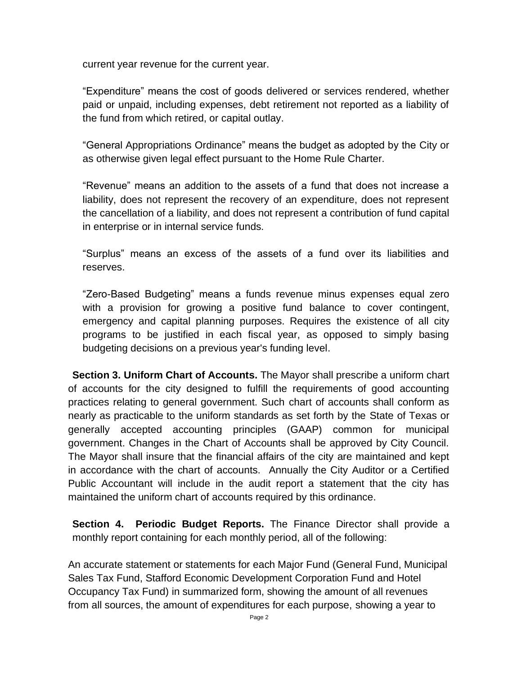current year revenue for the current year.

"Expenditure" means the cost of goods delivered or services rendered, whether paid or unpaid, including expenses, debt retirement not reported as a liability of the fund from which retired, or capital outlay.

"General Appropriations Ordinance" means the budget as adopted by the City or as otherwise given legal effect pursuant to the Home Rule Charter.

"Revenue" means an addition to the assets of a fund that does not increase a liability, does not represent the recovery of an expenditure, does not represent the cancellation of a liability, and does not represent a contribution of fund capital in enterprise or in internal service funds.

"Surplus" means an excess of the assets of a fund over its liabilities and reserves.

"Zero-Based Budgeting" means a funds revenue minus expenses equal zero with a provision for growing a positive fund balance to cover contingent, emergency and capital planning purposes. Requires the existence of all city programs to be justified in each fiscal year, as opposed to simply basing budgeting decisions on a previous year's funding level.

**Section 3. Uniform Chart of Accounts.** The Mayor shall prescribe a uniform chart of accounts for the city designed to fulfill the requirements of good accounting practices relating to general government. Such chart of accounts shall conform as nearly as practicable to the uniform standards as set forth by the State of Texas or generally accepted accounting principles (GAAP) common for municipal government. Changes in the Chart of Accounts shall be approved by City Council. The Mayor shall insure that the financial affairs of the city are maintained and kept in accordance with the chart of accounts. Annually the City Auditor or a Certified Public Accountant will include in the audit report a statement that the city has maintained the uniform chart of accounts required by this ordinance.

**Section 4. Periodic Budget Reports.** The Finance Director shall provide a monthly report containing for each monthly period, all of the following:

An accurate statement or statements for each Major Fund (General Fund, Municipal Sales Tax Fund, Stafford Economic Development Corporation Fund and Hotel Occupancy Tax Fund) in summarized form, showing the amount of all revenues from all sources, the amount of expenditures for each purpose, showing a year to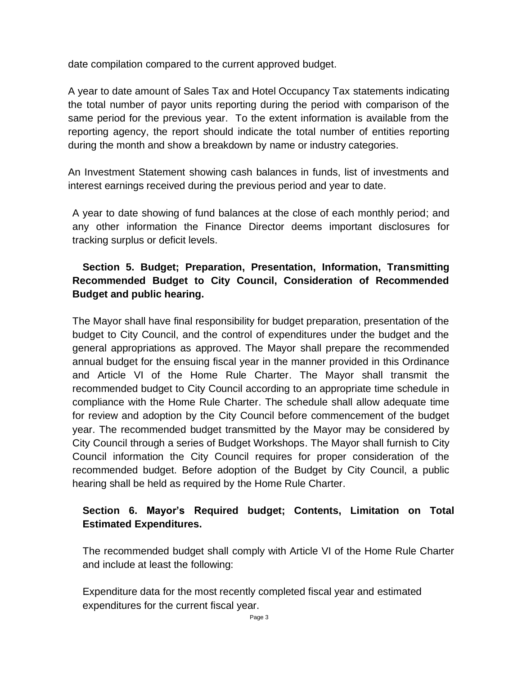date compilation compared to the current approved budget.

A year to date amount of Sales Tax and Hotel Occupancy Tax statements indicating the total number of payor units reporting during the period with comparison of the same period for the previous year. To the extent information is available from the reporting agency, the report should indicate the total number of entities reporting during the month and show a breakdown by name or industry categories.

An Investment Statement showing cash balances in funds, list of investments and interest earnings received during the previous period and year to date.

A year to date showing of fund balances at the close of each monthly period; and any other information the Finance Director deems important disclosures for tracking surplus or deficit levels.

# **Section 5. Budget; Preparation, Presentation, Information, Transmitting Recommended Budget to City Council, Consideration of Recommended Budget and public hearing.**

The Mayor shall have final responsibility for budget preparation, presentation of the budget to City Council, and the control of expenditures under the budget and the general appropriations as approved. The Mayor shall prepare the recommended annual budget for the ensuing fiscal year in the manner provided in this Ordinance and Article VI of the Home Rule Charter. The Mayor shall transmit the recommended budget to City Council according to an appropriate time schedule in compliance with the Home Rule Charter. The schedule shall allow adequate time for review and adoption by the City Council before commencement of the budget year. The recommended budget transmitted by the Mayor may be considered by City Council through a series of Budget Workshops. The Mayor shall furnish to City Council information the City Council requires for proper consideration of the recommended budget. Before adoption of the Budget by City Council, a public hearing shall be held as required by the Home Rule Charter.

# **Section 6. Mayor's Required budget; Contents, Limitation on Total Estimated Expenditures.**

The recommended budget shall comply with Article VI of the Home Rule Charter and include at least the following:

Expenditure data for the most recently completed fiscal year and estimated expenditures for the current fiscal year.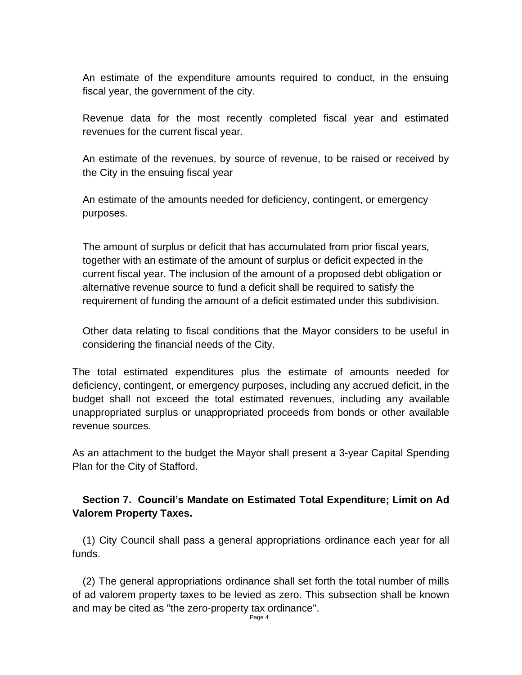An estimate of the expenditure amounts required to conduct, in the ensuing fiscal year, the government of the city.

Revenue data for the most recently completed fiscal year and estimated revenues for the current fiscal year.

An estimate of the revenues, by source of revenue, to be raised or received by the City in the ensuing fiscal year

An estimate of the amounts needed for deficiency, contingent, or emergency purposes.

The amount of surplus or deficit that has accumulated from prior fiscal years, together with an estimate of the amount of surplus or deficit expected in the current fiscal year. The inclusion of the amount of a proposed debt obligation or alternative revenue source to fund a deficit shall be required to satisfy the requirement of funding the amount of a deficit estimated under this subdivision.

Other data relating to fiscal conditions that the Mayor considers to be useful in considering the financial needs of the City.

The total estimated expenditures plus the estimate of amounts needed for deficiency, contingent, or emergency purposes, including any accrued deficit, in the budget shall not exceed the total estimated revenues, including any available unappropriated surplus or unappropriated proceeds from bonds or other available revenue sources.

As an attachment to the budget the Mayor shall present a 3-year Capital Spending Plan for the City of Stafford.

## **Section 7. Council's Mandate on Estimated Total Expenditure; Limit on Ad Valorem Property Taxes.**

(1) City Council shall pass a general appropriations ordinance each year for all funds.

(2) The general appropriations ordinance shall set forth the total number of mills of ad valorem property taxes to be levied as zero. This subsection shall be known and may be cited as "the zero-property tax ordinance".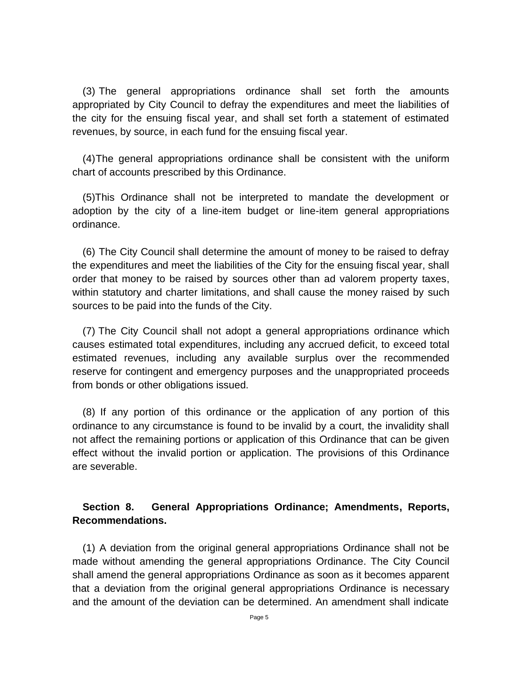(3) The general appropriations ordinance shall set forth the amounts appropriated by City Council to defray the expenditures and meet the liabilities of the city for the ensuing fiscal year, and shall set forth a statement of estimated revenues, by source, in each fund for the ensuing fiscal year.

(4)The general appropriations ordinance shall be consistent with the uniform chart of accounts prescribed by this Ordinance.

(5)This Ordinance shall not be interpreted to mandate the development or adoption by the city of a line-item budget or line-item general appropriations ordinance.

(6) The City Council shall determine the amount of money to be raised to defray the expenditures and meet the liabilities of the City for the ensuing fiscal year, shall order that money to be raised by sources other than ad valorem property taxes, within statutory and charter limitations, and shall cause the money raised by such sources to be paid into the funds of the City.

(7) The City Council shall not adopt a general appropriations ordinance which causes estimated total expenditures, including any accrued deficit, to exceed total estimated revenues, including any available surplus over the recommended reserve for contingent and emergency purposes and the unappropriated proceeds from bonds or other obligations issued.

(8) If any portion of this ordinance or the application of any portion of this ordinance to any circumstance is found to be invalid by a court, the invalidity shall not affect the remaining portions or application of this Ordinance that can be given effect without the invalid portion or application. The provisions of this Ordinance are severable.

### **Section 8. General Appropriations Ordinance; Amendments, Reports, Recommendations.**

(1) A deviation from the original general appropriations Ordinance shall not be made without amending the general appropriations Ordinance. The City Council shall amend the general appropriations Ordinance as soon as it becomes apparent that a deviation from the original general appropriations Ordinance is necessary and the amount of the deviation can be determined. An amendment shall indicate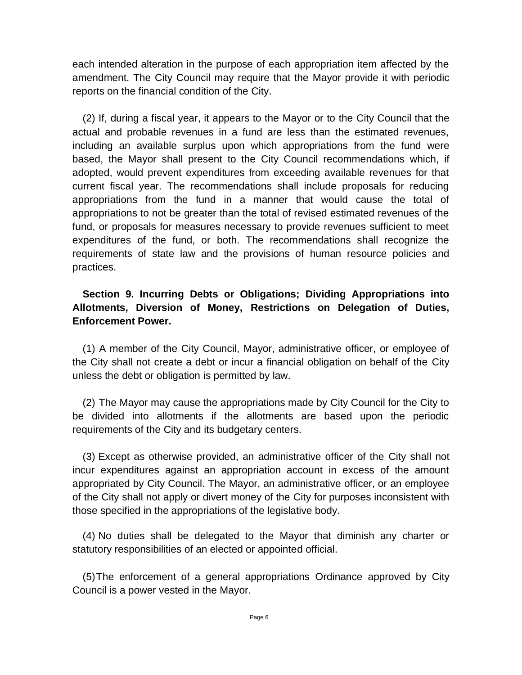each intended alteration in the purpose of each appropriation item affected by the amendment. The City Council may require that the Mayor provide it with periodic reports on the financial condition of the City.

(2) If, during a fiscal year, it appears to the Mayor or to the City Council that the actual and probable revenues in a fund are less than the estimated revenues, including an available surplus upon which appropriations from the fund were based, the Mayor shall present to the City Council recommendations which, if adopted, would prevent expenditures from exceeding available revenues for that current fiscal year. The recommendations shall include proposals for reducing appropriations from the fund in a manner that would cause the total of appropriations to not be greater than the total of revised estimated revenues of the fund, or proposals for measures necessary to provide revenues sufficient to meet expenditures of the fund, or both. The recommendations shall recognize the requirements of state law and the provisions of human resource policies and practices.

## **Section 9. Incurring Debts or Obligations; Dividing Appropriations into Allotments, Diversion of Money, Restrictions on Delegation of Duties, Enforcement Power.**

(1) A member of the City Council, Mayor, administrative officer, or employee of the City shall not create a debt or incur a financial obligation on behalf of the City unless the debt or obligation is permitted by law.

(2) The Mayor may cause the appropriations made by City Council for the City to be divided into allotments if the allotments are based upon the periodic requirements of the City and its budgetary centers.

(3) Except as otherwise provided, an administrative officer of the City shall not incur expenditures against an appropriation account in excess of the amount appropriated by City Council. The Mayor, an administrative officer, or an employee of the City shall not apply or divert money of the City for purposes inconsistent with those specified in the appropriations of the legislative body.

(4) No duties shall be delegated to the Mayor that diminish any charter or statutory responsibilities of an elected or appointed official.

(5)The enforcement of a general appropriations Ordinance approved by City Council is a power vested in the Mayor.